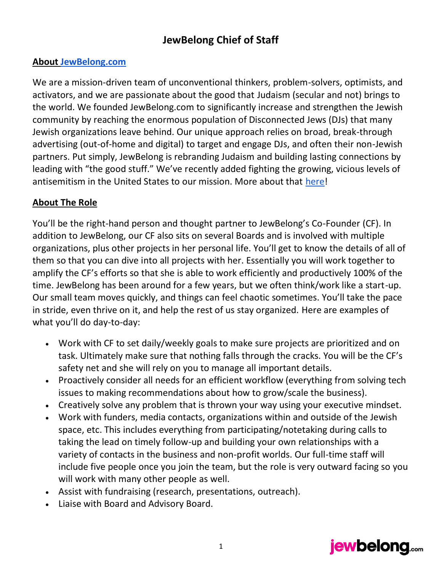# **JewBelong Chief of Staff**

### **About [JewBelong.com](https://www.jewbelong.com/)**

We are a mission-driven team of unconventional thinkers, problem-solvers, optimists, and activators, and we are passionate about the good that Judaism (secular and not) brings to the world. We founded JewBelong.com to significantly increase and strengthen the Jewish community by reaching the enormous population of Disconnected Jews (DJs) that many Jewish organizations leave behind. Our unique approach relies on broad, break-through advertising (out-of-home and digital) to target and engage DJs, and often their non-Jewish partners. Put simply, JewBelong is rebranding Judaism and building lasting connections by leading with "the good stuff." We've recently added fighting the growing, vicious levels of antisemitism in the United States to our mission. More about that [here!](https://www.youtube.com/watch?v=93m4CWtgAGo)

### **About The Role**

You'll be the right-hand person and thought partner to JewBelong's Co-Founder (CF). In addition to JewBelong, our CF also sits on several Boards and is involved with multiple organizations, plus other projects in her personal life. You'll get to know the details of all of them so that you can dive into all projects with her. Essentially you will work together to amplify the CF's efforts so that she is able to work efficiently and productively 100% of the time. JewBelong has been around for a few years, but we often think/work like a start-up. Our small team moves quickly, and things can feel chaotic sometimes. You'll take the pace in stride, even thrive on it, and help the rest of us stay organized. Here are examples of what you'll do day-to-day:

- Work with CF to set daily/weekly goals to make sure projects are prioritized and on task. Ultimately make sure that nothing falls through the cracks. You will be the CF's safety net and she will rely on you to manage all important details.
- Proactively consider all needs for an efficient workflow (everything from solving tech issues to making recommendations about how to grow/scale the business).
- Creatively solve any problem that is thrown your way using your executive mindset.
- Work with funders, media contacts, organizations within and outside of the Jewish space, etc. This includes everything from participating/notetaking during calls to taking the lead on timely follow-up and building your own relationships with a variety of contacts in the business and non-profit worlds. Our full-time staff will include five people once you join the team, but the role is very outward facing so you will work with many other people as well.
- Assist with fundraising (research, presentations, outreach).
- Liaise with Board and Advisory Board.

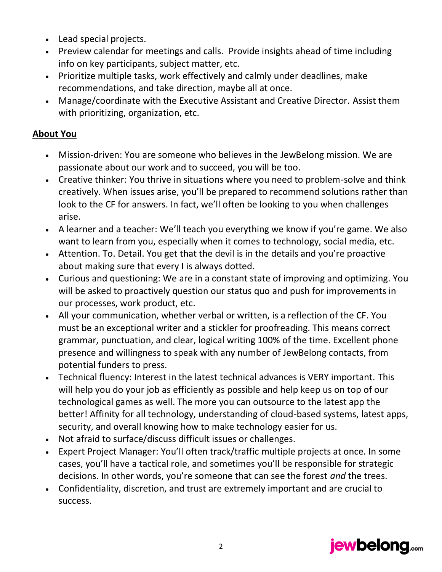- Lead special projects.
- Preview calendar for meetings and calls. Provide insights ahead of time including info on key participants, subject matter, etc.
- Prioritize multiple tasks, work effectively and calmly under deadlines, make recommendations, and take direction, maybe all at once.
- Manage/coordinate with the Executive Assistant and Creative Director. Assist them with prioritizing, organization, etc.

# **About You**

- Mission-driven: You are someone who believes in the JewBelong mission. We are passionate about our work and to succeed, you will be too.
- Creative thinker: You thrive in situations where you need to problem-solve and think creatively. When issues arise, you'll be prepared to recommend solutions rather than look to the CF for answers. In fact, we'll often be looking to you when challenges arise.
- A learner and a teacher: We'll teach you everything we know if you're game. We also want to learn from you, especially when it comes to technology, social media, etc.
- Attention. To. Detail. You get that the devil is in the details and you're proactive about making sure that every I is always dotted.
- Curious and questioning: We are in a constant state of improving and optimizing. You will be asked to proactively question our status quo and push for improvements in our processes, work product, etc.
- All your communication, whether verbal or written, is a reflection of the CF. You must be an exceptional writer and a stickler for proofreading. This means correct grammar, punctuation, and clear, logical writing 100% of the time. Excellent phone presence and willingness to speak with any number of JewBelong contacts, from potential funders to press.
- Technical fluency: Interest in the latest technical advances is VERY important. This will help you do your job as efficiently as possible and help keep us on top of our technological games as well. The more you can outsource to the latest app the better! Affinity for all technology, understanding of cloud-based systems, latest apps, security, and overall knowing how to make technology easier for us.
- Not afraid to surface/discuss difficult issues or challenges.
- Expert Project Manager: You'll often track/traffic multiple projects at once. In some cases, you'll have a tactical role, and sometimes you'll be responsible for strategic decisions. In other words, you're someone that can see the forest *and* the trees.
- Confidentiality, discretion, and trust are extremely important and are crucial to success.